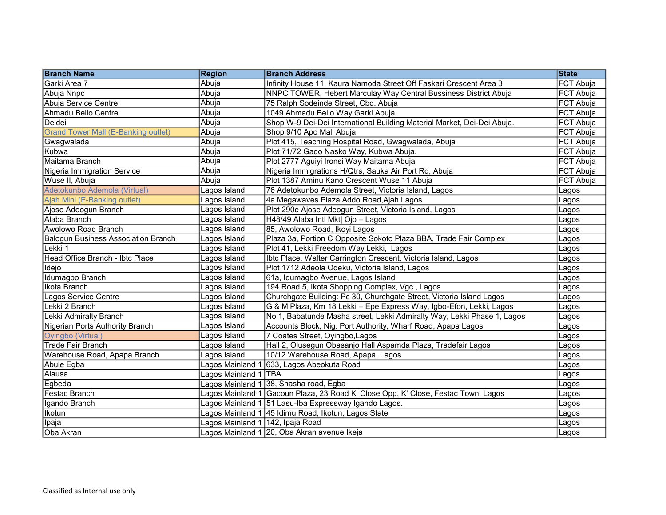| <b>Branch Name</b>                         | <b>Region</b>                    | <b>Branch Address</b>                                                             | <b>State</b>     |
|--------------------------------------------|----------------------------------|-----------------------------------------------------------------------------------|------------------|
| Garki Area 7                               | Abuja                            | Infinity House 11, Kaura Namoda Street Off Faskari Crescent Area 3                | FCT Abuja        |
| Abuja Nnpc                                 | Abuja                            | NNPC TOWER, Hebert Marculay Way Central Bussiness District Abuja                  | FCT Abuja        |
| Abuja Service Centre                       | Abuja                            | 75 Ralph Sodeinde Street, Cbd. Abuja                                              | <b>FCT Abuja</b> |
| Ahmadu Bello Centre                        | Abuja                            | 1049 Ahmadu Bello Way Garki Abuja                                                 | <b>FCT Abuja</b> |
| Deidei                                     | Abuja                            | Shop W-9 Dei-Dei International Building Material Market, Dei-Dei Abuja.           | FCT Abuja        |
| <b>Grand Tower Mall (E-Banking outlet)</b> | Abuja                            | Shop 9/10 Apo Mall Abuja                                                          | FCT Abuja        |
| Gwagwalada                                 | Abuja                            | Plot 415, Teaching Hospital Road, Gwagwalada, Abuja                               | FCT Abuja        |
| Kubwa                                      | Abuja                            | Plot 71/72 Gado Nasko Way, Kubwa Abuja.                                           | FCT Abuja        |
| Maitama Branch                             | Abuja                            | Plot 2777 Aguiyi Ironsi Way Maitama Abuja                                         | FCT Abuja        |
| Nigeria Immigration Service                | Abuja                            | Nigeria Immigrations H/Qtrs, Sauka Air Port Rd, Abuja                             | FCT Abuja        |
| Wuse II, Abuja                             | Abuia                            | Plot 1387 Aminu Kano Crescent Wuse 11 Abuja                                       | <b>FCT Abuja</b> |
| Adetokunbo Ademola (Virtual)               | Lagos Island                     | 76 Adetokunbo Ademola Street, Victoria Island, Lagos                              | Lagos            |
| Ajah Mini (E-Banking outlet)               | Lagos Island                     | 4a Megawaves Plaza Addo Road, Ajah Lagos                                          | Lagos            |
| Ajose Adeogun Branch                       | Lagos Island                     | Plot 290e Ajose Adeogun Street, Victoria Island, Lagos                            | Lagos            |
| Alaba Branch                               | Lagos Island                     | H48/49 Alaba Intl Mkt  Ojo - Lagos                                                | Lagos            |
| Awolowo Road Branch                        | Lagos Island                     | 85, Awolowo Road, Ikoyi Lagos                                                     | Lagos            |
| <b>Balogun Business Association Branch</b> | Lagos Island                     | Plaza 3a, Portion C Opposite Sokoto Plaza BBA, Trade Fair Complex                 | Lagos            |
| Lekki 1                                    | Lagos Island                     | Plot 41, Lekki Freedom Way Lekki, Lagos                                           | Lagos            |
| Head Office Branch - Ibtc Place            | Lagos Island                     | Ibtc Place, Walter Carrington Crescent, Victoria Island, Lagos                    | Lagos            |
| Idejo                                      | Lagos Island                     | Plot 1712 Adeola Odeku, Victoria Island, Lagos                                    | Lagos            |
| Idumagbo Branch                            | Lagos Island                     | 61a, Idumagbo Avenue, Lagos Island                                                | Lagos            |
| Ikota Branch                               | Lagos Island                     | 194 Road 5, Ikota Shopping Complex, Vgc, Lagos                                    | Lagos            |
| Lagos Service Centre                       | Lagos Island                     | Churchgate Building: Pc 30, Churchgate Street, Victoria Island Lagos              | Lagos            |
| Lekki 2 Branch                             | Lagos Island                     | G & M Plaza, Km 18 Lekki - Epe Express Way, Igbo-Efon, Lekki, Lagos               | Lagos            |
| Lekki Admiralty Branch                     | Lagos Island                     | No 1, Babatunde Masha street, Lekki Admiralty Way, Lekki Phase 1, Lagos           | Lagos            |
| Nigerian Ports Authority Branch            | Lagos Island                     | Accounts Block, Nig. Port Authority, Wharf Road, Apapa Lagos                      | Lagos            |
| Oyingbo (Virtual)                          | Lagos Island                     | 7 Coates Street, Oyingbo, Lagos                                                   | Lagos            |
| <b>Trade Fair Branch</b>                   | Lagos Island                     | Hall 2, Olusegun Obasanjo Hall Aspamda Plaza, Tradefair Lagos                     | Lagos            |
| Warehouse Road, Apapa Branch               | Lagos Island                     | 10/12 Warehouse Road, Apapa, Lagos                                                | Lagos            |
| Abule Egba                                 |                                  | Lagos Mainland 1  633, Lagos Abeokuta Road                                        | Lagos            |
| Alausa                                     | Lagos Mainland 1 TBA             |                                                                                   | Lagos            |
| Egbeda                                     |                                  | Lagos Mainland 1 38, Shasha road, Egba                                            | Lagos            |
| Festac Branch                              |                                  | Lagos Mainland 1 Gacoun Plaza, 23 Road K' Close Opp. K' Close, Festac Town, Lagos | Lagos            |
| Igando Branch                              |                                  | Lagos Mainland 1  51 Lasu-Iba Expressway Igando Lagos.                            | Lagos            |
| <b>Ikotun</b>                              |                                  | Lagos Mainland 1 <sup> </sup> 45 Idimu Road, Ikotun, Lagos State                  | Lagos            |
| Ipaja                                      | Lagos Mainland 1 142, Ipaja Road |                                                                                   | Lagos            |
| Oba Akran                                  |                                  | Lagos Mainland 1 20, Oba Akran avenue Ikeja                                       | Lagos            |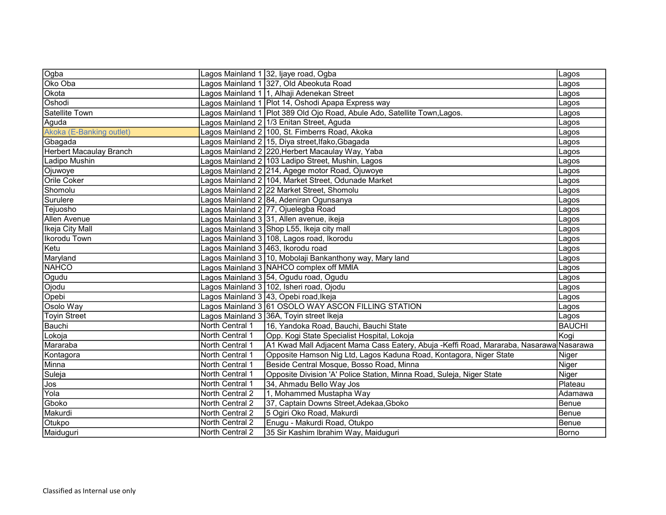| Ogba                           |                                    | Lagos Mainland 1 32, Ijaye road, Ogba                                                  | Lagos         |
|--------------------------------|------------------------------------|----------------------------------------------------------------------------------------|---------------|
| Oko Oba                        |                                    | Lagos Mainland 1 327, Old Abeokuta Road                                                | Lagos         |
| Okota                          |                                    | Lagos Mainland 1 1, Alhaji Adenekan Street                                             | Lagos         |
| Oshodi                         |                                    | Lagos Mainland 1 Plot 14, Oshodi Apapa Express way                                     | Lagos         |
| <b>Satellite Town</b>          |                                    | Lagos Mainland 1 Plot 389 Old Ojo Road, Abule Ado, Satellite Town, Lagos.              | Lagos         |
| Aguda                          |                                    | Lagos Mainland 2 1/3 Enitan Street, Aguda                                              | Lagos         |
| Akoka (E-Banking outlet)       |                                    | Lagos Mainland 2 100, St. Fimberrs Road, Akoka                                         | Lagos         |
| Gbagada                        |                                    | Lagos Mainland 2 15, Diya street,Ifako,Gbagada                                         | Lagos         |
| <b>Herbert Macaulay Branch</b> |                                    | Lagos Mainland 2 220,Herbert Macaulay Way, Yaba                                        | Lagos         |
| <b>Ladipo Mushin</b>           |                                    | Lagos Mainland 2 103 Ladipo Street, Mushin, Lagos                                      | Lagos         |
| Ojuwoye                        |                                    | Lagos Mainland 2 214, Agege motor Road, Ojuwoye                                        | Lagos         |
| Orile Coker                    |                                    | Lagos Mainland 2 104, Market Street, Odunade Market                                    | Lagos         |
| Shomolu                        |                                    | Lagos Mainland 2 22 Market Street, Shomolu                                             | Lagos         |
| Surulere                       |                                    | Lagos Mainland 2 84, Adeniran Ogunsanya                                                | Lagos         |
| Tejuosho                       |                                    | Lagos Mainland 2 77, Ojuelegba Road                                                    | Lagos         |
| Allen Avenue                   |                                    | Lagos Mainland 3 31, Allen avenue, ikeja                                               | Lagos         |
| Ikeja City Mall                |                                    | Lagos Mainland 3 Shop L55, Ikeja city mall                                             | Lagos         |
| <b>Ikorodu Town</b>            |                                    | Lagos Mainland 3 108, Lagos road, Ikorodu                                              | Lagos         |
| Ketu                           | Lagos Mainland 3 463, Ikorodu road |                                                                                        | Lagos         |
| Maryland                       |                                    | Lagos Mainland 3 10, Mobolaji Bankanthony way, Mary land                               | Lagos         |
| <b>NAHCO</b>                   |                                    | Lagos Mainland 3 NAHCO complex off MMIA                                                | Lagos         |
| Ogudu                          |                                    | Lagos Mainland 3 54, Ogudu road, Ogudu                                                 | Lagos         |
| Ojodu                          |                                    | Lagos Mainland 3 102, Isheri road, Ojodu                                               | Lagos         |
| Opebi                          |                                    | Lagos Mainland 3  43, Opebi road,Ikeja                                                 | Lagos         |
| Osolo Way                      |                                    | Lagos Mainland 3 61 OSOLO WAY ASCON FILLING STATION                                    | Lagos         |
| <b>Toyin Street</b>            |                                    | Lagos Mainland 3 36A, Toyin street Ikeja                                               | Lagos         |
| Bauchi                         | North Central 1                    | 16, Yandoka Road, Bauchi, Bauchi State                                                 | <b>BAUCHI</b> |
| Lokoja                         | North Central 1                    | Opp. Kogi State Specialist Hospital, Lokoja                                            | Kogi          |
| Mararaba                       | North Central 1                    | A1 Kwad Mall Adjacent Mama Cass Eatery, Abuja -Keffi Road, Mararaba, Nasarawa Nasarawa |               |
| Kontagora                      | North Central 1                    | Opposite Hamson Nig Ltd, Lagos Kaduna Road, Kontagora, Niger State                     | Niger         |
| Minna                          | North Central 1                    | Beside Central Mosque, Bosso Road, Minna                                               | Niger         |
| Suleja                         | North Central 1                    | Opposite Division 'A' Police Station, Minna Road, Suleja, Niger State                  | Niger         |
| Jos                            | North Central 1                    | 34, Ahmadu Bello Way Jos                                                               | Plateau       |
| Yola                           | North Central 2                    | 1, Mohammed Mustapha Way                                                               | Adamawa       |
| Gboko                          | North Central 2                    | 37, Captain Downs Street, Adekaa, Gboko                                                | Benue         |
| Makurdi                        | North Central 2                    | 5 Ogiri Oko Road, Makurdi                                                              | Benue         |
| Otukpo                         | North Central 2                    | Enugu - Makurdi Road, Otukpo                                                           | Benue         |
| Maiduguri                      | North Central 2                    | 35 Sir Kashim Ibrahim Way, Maiduguri                                                   | Borno         |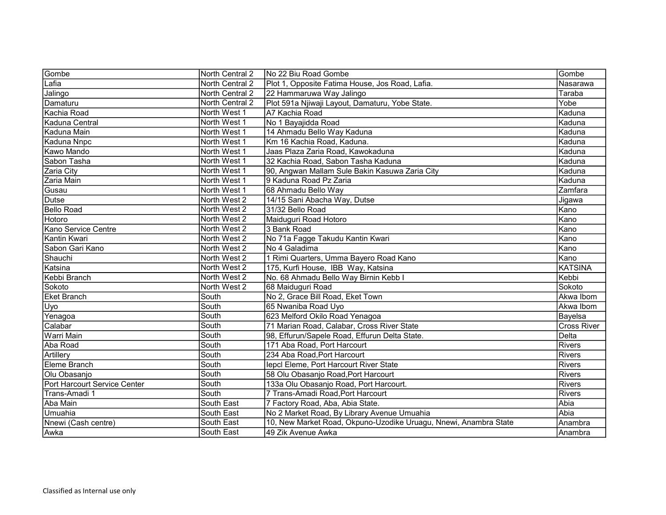| Gombe                        | North Central 2 | No 22 Biu Road Gombe                                             | Gombe                    |
|------------------------------|-----------------|------------------------------------------------------------------|--------------------------|
| Lafia                        | North Central 2 | Plot 1, Opposite Fatima House, Jos Road, Lafia.                  | Nasarawa                 |
| Jalingo                      | North Central 2 | 22 Hammaruwa Way Jalingo                                         | Taraba                   |
| Damaturu                     | North Central 2 | Plot 591a Njiwaji Layout, Damaturu, Yobe State.                  | Yobe                     |
| Kachia Road                  | North West 1    | A7 Kachia Road                                                   | Kaduna                   |
| <b>Kaduna Central</b>        | North West 1    | No 1 Bayajidda Road                                              | Kaduna                   |
| Kaduna Main                  | North West 1    | 14 Ahmadu Bello Way Kaduna                                       | Kaduna                   |
| Kaduna Nnpc                  | North West 1    | Km 16 Kachia Road, Kaduna.                                       | Kaduna                   |
| Kawo Mando                   | North West 1    | Jaas Plaza Zaria Road, Kawokaduna                                | Kaduna                   |
| Sabon Tasha                  | North West 1    | 32 Kachia Road, Sabon Tasha Kaduna                               | Kaduna                   |
| Zaria City                   | North West 1    | 90, Angwan Mallam Sule Bakin Kasuwa Zaria City                   | Kaduna                   |
| Zaria Main                   | North West 1    | 9 Kaduna Road Pz Zaria                                           | Kaduna                   |
| Gusau                        | North West 1    | 68 Ahmadu Bello Way                                              | Zamfara                  |
| <b>Dutse</b>                 | North West 2    | 14/15 Sani Abacha Way, Dutse                                     | Jigawa                   |
| <b>Bello Road</b>            | North West 2    | 31/32 Bello Road                                                 | $\overline{\text{Kano}}$ |
| Hotoro                       | North West 2    | Maiduguri Road Hotoro                                            | Kano                     |
| Kano Service Centre          | North West 2    | 3 Bank Road                                                      | Kano                     |
| Kantin Kwari                 | North West 2    | No 71a Fagge Takudu Kantin Kwari                                 | Kano                     |
| Sabon Gari Kano              | North West 2    | INo 4 Galadima                                                   | Kano                     |
| Shauchi                      | North West 2    | 1 Rimi Quarters, Umma Bayero Road Kano                           | Kano                     |
| Katsina                      | North West 2    | 175, Kurfi House, IBB Way, Katsina                               | <b>KATSINA</b>           |
| Kebbi Branch                 | North West 2    | No. 68 Ahmadu Bello Way Birnin Kebb I                            | Kebbi                    |
| Sokoto                       | North West 2    | 68 Maiduguri Road                                                | Sokoto                   |
| <b>Eket Branch</b>           | South           | No 2, Grace Bill Road, Eket Town                                 | Akwa Ibom                |
| Uyo                          | South           | 65 Nwaniba Road Uyo                                              | Akwa Ibom                |
| Yenagoa                      | South           | 623 Melford Okilo Road Yenagoa                                   | Bayelsa                  |
| Calabar                      | South           | 71 Marian Road, Calabar, Cross River State                       | <b>Cross River</b>       |
| Warri Main                   | South           | 98, Effurun/Sapele Road, Effurun Delta State.                    | <b>Delta</b>             |
| Aba Road                     | South           | 171 Aba Road, Port Harcourt                                      | <b>Rivers</b>            |
| Artillery                    | South           | 234 Aba Road, Port Harcourt                                      | Rivers                   |
| Eleme Branch                 | South           | lepcl Eleme, Port Harcourt River State                           | Rivers                   |
| Olu Obasanjo                 | South           | 58 Olu Obasanjo Road, Port Harcourt                              | Rivers                   |
| Port Harcourt Service Center | South           | 133a Olu Obasanjo Road, Port Harcourt.                           | Rivers                   |
| Trans-Amadi 1                | South           | 7 Trans-Amadi Road, Port Harcourt                                | Rivers                   |
| Aba Main                     | South East      | 7 Factory Road, Aba, Abia State.                                 | Abia                     |
| Umuahia                      | South East      | No 2 Market Road, By Library Avenue Umuahia                      | Abia                     |
| Nnewi (Cash centre)          | South East      | 10, New Market Road, Okpuno-Uzodike Uruagu, Nnewi, Anambra State | Anambra                  |
| Awka                         | South East      | 49 Zik Avenue Awka                                               | Anambra                  |